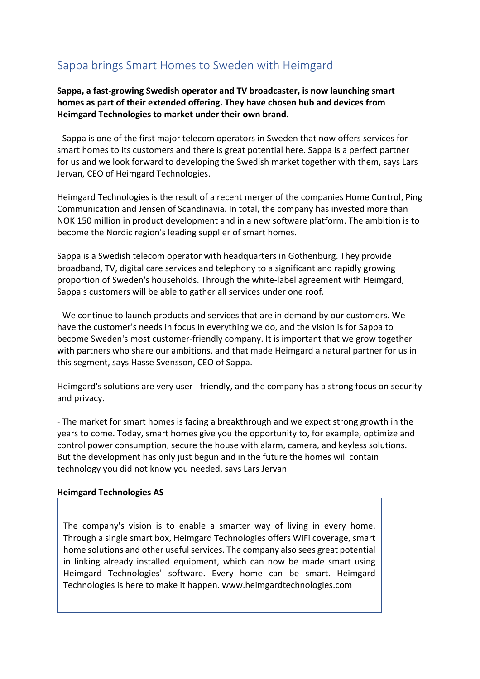## Sappa brings Smart Homes to Sweden with Heimgard

**Sappa, a fast-growing Swedish operator and TV broadcaster, is now launching smart homes as part of their extended offering. They have chosen hub and devices from Heimgard Technologies to market under their own brand.**

- Sappa is one of the first major telecom operators in Sweden that now offers services for smart homes to its customers and there is great potential here. Sappa is a perfect partner for us and we look forward to developing the Swedish market together with them, says Lars Jervan, CEO of Heimgard Technologies.

Heimgard Technologies is the result of a recent merger of the companies Home Control, Ping Communication and Jensen of Scandinavia. In total, the company has invested more than NOK 150 million in product development and in a new software platform. The ambition is to become the Nordic region's leading supplier of smart homes.

Sappa is a Swedish telecom operator with headquarters in Gothenburg. They provide broadband, TV, digital care services and telephony to a significant and rapidly growing proportion of Sweden's households. Through the white-label agreement with Heimgard, Sappa's customers will be able to gather all services under one roof.

- We continue to launch products and services that are in demand by our customers. We have the customer's needs in focus in everything we do, and the vision is for Sappa to become Sweden's most customer-friendly company. It is important that we grow together with partners who share our ambitions, and that made Heimgard a natural partner for us in this segment, says Hasse Svensson, CEO of Sappa.

Heimgard's solutions are very user - friendly, and the company has a strong focus on security and privacy.

- The market for smart homes is facing a breakthrough and we expect strong growth in the years to come. Today, smart homes give you the opportunity to, for example, optimize and control power consumption, secure the house with alarm, camera, and keyless solutions. But the development has only just begun and in the future the homes will contain technology you did not know you needed, says Lars Jervan

## **Heimgard Technologies AS**

The company's vision is to enable a smarter way of living in every home. Through a single smart box, Heimgard Technologies offers WiFi coverage, smart home solutions and other useful services. The company also sees great potential in linking already installed equipment, which can now be made smart using Heimgard Technologies' software. Every home can be smart. Heimgard Technologies is here to make it happen. www.heimgardtechnologies.com